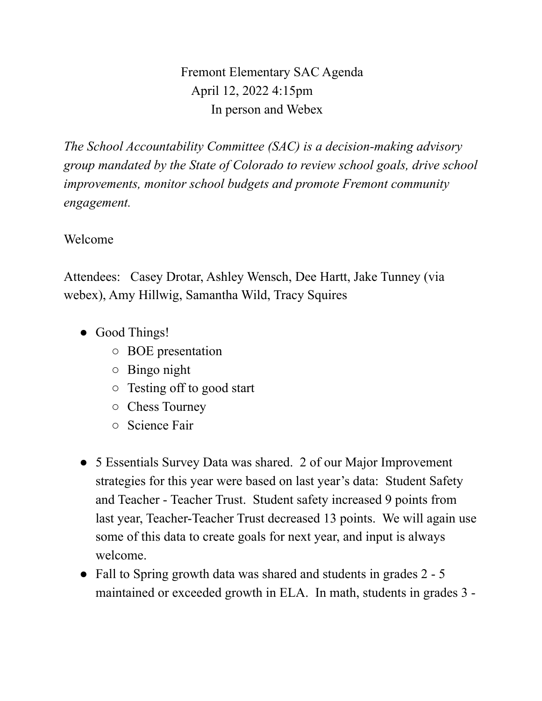Fremont Elementary SAC Agenda April 12, 2022 4:15pm In person and Webex

*The School Accountability Committee (SAC) is a decision-making advisory group mandated by the State of Colorado to review school goals, drive school improvements, monitor school budgets and promote Fremont community engagement.*

## Welcome

Attendees: Casey Drotar, Ashley Wensch, Dee Hartt, Jake Tunney (via webex), Amy Hillwig, Samantha Wild, Tracy Squires

- Good Things!
	- BOE presentation
	- Bingo night
	- Testing off to good start
	- Chess Tourney
	- Science Fair
- 5 Essentials Survey Data was shared. 2 of our Major Improvement strategies for this year were based on last year's data: Student Safety and Teacher - Teacher Trust. Student safety increased 9 points from last year, Teacher-Teacher Trust decreased 13 points. We will again use some of this data to create goals for next year, and input is always welcome.
- Fall to Spring growth data was shared and students in grades 2 5 maintained or exceeded growth in ELA. In math, students in grades 3 -